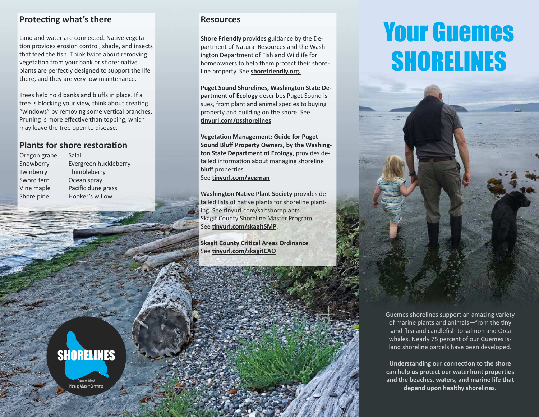#### **Protecing what's there**

Land and water are connected. Native vegetaion provides erosion control, shade, and insects that feed the fish. Think twice about removing vegetation from your bank or shore: native plants are perfectly designed to support the life there, and they are very low maintenance.

Trees help hold banks and bluffs in place. If a tree is blocking your view, think about creating "windows" by removing some vertical branches. Pruning is more effective than topping, which may leave the tree open to disease.

**SHORELINES** 

Guemes Island Planning Advisory Committee

### **Plants for shore restoration**

Oregon grape Salal Twinberry Thimbleberry Sword fern Ocean spray

Snowberry Evergreen huckleberry Vine maple Pacific dune grass Shore pine Hooker's willow

#### **Resources**

**Shore Friendly** provides guidance by the Department of Natural Resources and the Washington Department of Fish and Wildlife for homeowners to help them protect their shoreline property. See **shorefriendly.org.**

**Puget Sound Shorelines, Washington State Department of Ecology** describes Puget Sound issues, from plant and animal species to buying property and building on the shore. See **inyurl.com/psshorelines**

**Vegetation Management: Guide for Puget Sound Bluff Property Owners, by the Washington State Department of Ecology**, provides detailed information about managing shoreline bluff properies. See **inyurl.com/vegman**

**Washington Native Plant Society** provides detailed lists of native plants for shoreline planting. See tinyurl.com/saltshoreplants. Skagit County Shoreline Master Program See **inyurl.com/skagitSMP**.

**Skagit County Critical Areas Ordinance** See **inyurl.com/skagitCAO**

# Your Guemes SHORELINES



Guemes shorelines support an amazing variety of marine plants and animals—from the iny sand flea and candlefish to salmon and Orca whales. Nearly 75 percent of our Guemes Island shoreline parcels have been developed.

**Understanding our connecion to the shore can help us protect our waterfront properies and the beaches, waters, and marine life that depend upon healthy shorelines.**